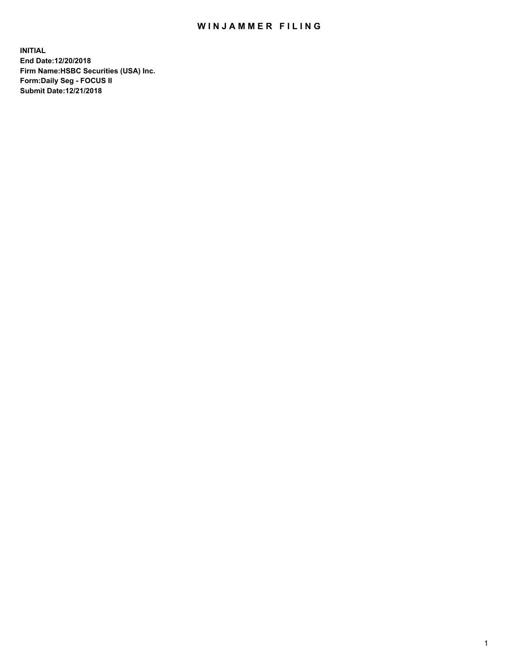## WIN JAMMER FILING

**INITIAL End Date:12/20/2018 Firm Name:HSBC Securities (USA) Inc. Form:Daily Seg - FOCUS II Submit Date:12/21/2018**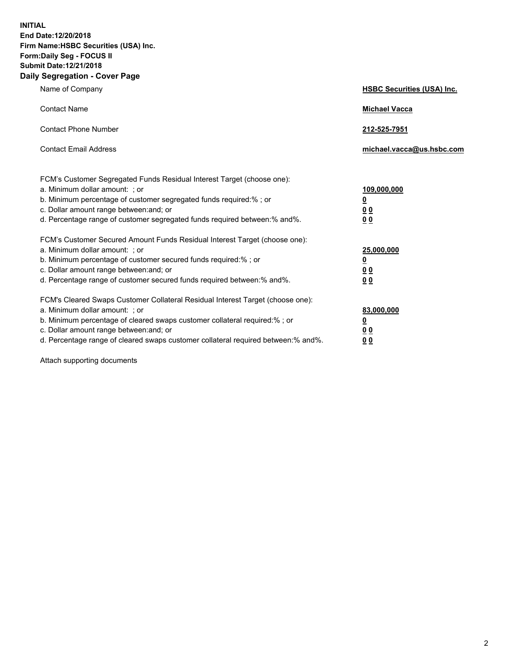**INITIAL End Date:12/20/2018 Firm Name:HSBC Securities (USA) Inc. Form:Daily Seg - FOCUS II Submit Date:12/21/2018 Daily Segregation - Cover Page**

| Name of Company                                                                                                                                                                                                                                                                                                                | <b>HSBC Securities (USA) Inc.</b>                                          |
|--------------------------------------------------------------------------------------------------------------------------------------------------------------------------------------------------------------------------------------------------------------------------------------------------------------------------------|----------------------------------------------------------------------------|
| <b>Contact Name</b>                                                                                                                                                                                                                                                                                                            | <b>Michael Vacca</b>                                                       |
| <b>Contact Phone Number</b>                                                                                                                                                                                                                                                                                                    | 212-525-7951                                                               |
| <b>Contact Email Address</b>                                                                                                                                                                                                                                                                                                   | michael.vacca@us.hsbc.com                                                  |
| FCM's Customer Segregated Funds Residual Interest Target (choose one):<br>a. Minimum dollar amount: : or<br>b. Minimum percentage of customer segregated funds required:% ; or<br>c. Dollar amount range between: and; or<br>d. Percentage range of customer segregated funds required between:% and%.                         | 109,000,000<br>$\overline{\mathbf{0}}$<br>0 <sub>0</sub><br>0 <sub>0</sub> |
| FCM's Customer Secured Amount Funds Residual Interest Target (choose one):<br>a. Minimum dollar amount: ; or<br>b. Minimum percentage of customer secured funds required:%; or<br>c. Dollar amount range between: and; or<br>d. Percentage range of customer secured funds required between:% and%.                            | 25,000,000<br><u>0</u><br>0 <sub>0</sub><br>00                             |
| FCM's Cleared Swaps Customer Collateral Residual Interest Target (choose one):<br>a. Minimum dollar amount: ; or<br>b. Minimum percentage of cleared swaps customer collateral required:% ; or<br>c. Dollar amount range between: and; or<br>d. Percentage range of cleared swaps customer collateral required between:% and%. | 83,000,000<br><u>0</u><br>00<br>0 <sub>0</sub>                             |

Attach supporting documents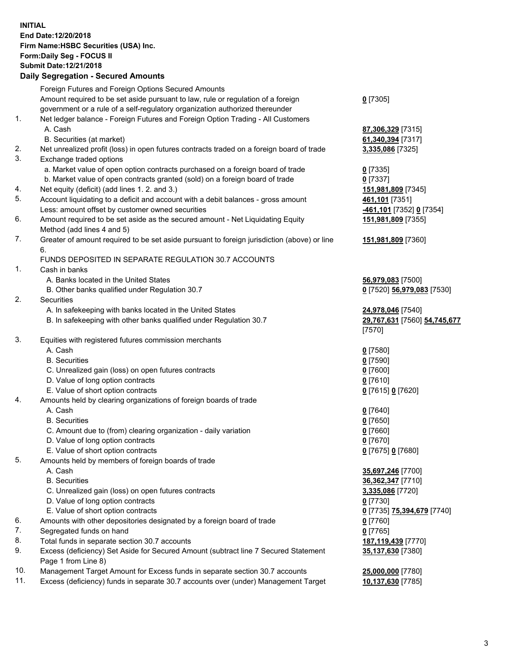**INITIAL End Date:12/20/2018 Firm Name:HSBC Securities (USA) Inc. Form:Daily Seg - FOCUS II Submit Date:12/21/2018 Daily Segregation - Secured Amounts** Foreign Futures and Foreign Options Secured Amounts Amount required to be set aside pursuant to law, rule or regulation of a foreign government or a rule of a self-regulatory organization authorized thereunder **0** [7305] 1. Net ledger balance - Foreign Futures and Foreign Option Trading - All Customers A. Cash **87,306,329** [7315] B. Securities (at market) **61,340,394** [7317] 2. Net unrealized profit (loss) in open futures contracts traded on a foreign board of trade **3,335,086** [7325] 3. Exchange traded options a. Market value of open option contracts purchased on a foreign board of trade **0** [7335] b. Market value of open contracts granted (sold) on a foreign board of trade **0** [7337] 4. Net equity (deficit) (add lines 1. 2. and 3.) **151,981,809** [7345] 5. Account liquidating to a deficit and account with a debit balances - gross amount **461,101** [7351] Less: amount offset by customer owned securities **-461,101** [7352] **0** [7354] 6. Amount required to be set aside as the secured amount - Net Liquidating Equity Method (add lines 4 and 5) **151,981,809** [7355] 7. Greater of amount required to be set aside pursuant to foreign jurisdiction (above) or line 6. **151,981,809** [7360] FUNDS DEPOSITED IN SEPARATE REGULATION 30.7 ACCOUNTS 1. Cash in banks A. Banks located in the United States **56,979,083** [7500] B. Other banks qualified under Regulation 30.7 **0** [7520] **56,979,083** [7530] 2. Securities A. In safekeeping with banks located in the United States **24,978,046** [7540] B. In safekeeping with other banks qualified under Regulation 30.7 **29,767,631** [7560] **54,745,677** [7570] 3. Equities with registered futures commission merchants A. Cash **0** [7580] B. Securities **0** [7590] C. Unrealized gain (loss) on open futures contracts **0** [7600] D. Value of long option contracts **0** [7610] E. Value of short option contracts **0** [7615] **0** [7620] 4. Amounts held by clearing organizations of foreign boards of trade A. Cash **0** [7640] B. Securities **0** [7650] C. Amount due to (from) clearing organization - daily variation **0** [7660] D. Value of long option contracts **0** [7670] E. Value of short option contracts **0** [7675] **0** [7680] 5. Amounts held by members of foreign boards of trade A. Cash **35,697,246** [7700] B. Securities **36,362,347** [7710] C. Unrealized gain (loss) on open futures contracts **3,335,086** [7720] D. Value of long option contracts **0** [7730] E. Value of short option contracts **0** [7735] **75,394,679** [7740] 6. Amounts with other depositories designated by a foreign board of trade **0** [7760] 7. Segregated funds on hand **0** [7765] 8. Total funds in separate section 30.7 accounts **187,119,439** [7770] 9. Excess (deficiency) Set Aside for Secured Amount (subtract line 7 Secured Statement Page 1 from Line 8) **35,137,630** [7380]

10. Management Target Amount for Excess funds in separate section 30.7 accounts **25,000,000** [7780]

11. Excess (deficiency) funds in separate 30.7 accounts over (under) Management Target **10,137,630** [7785]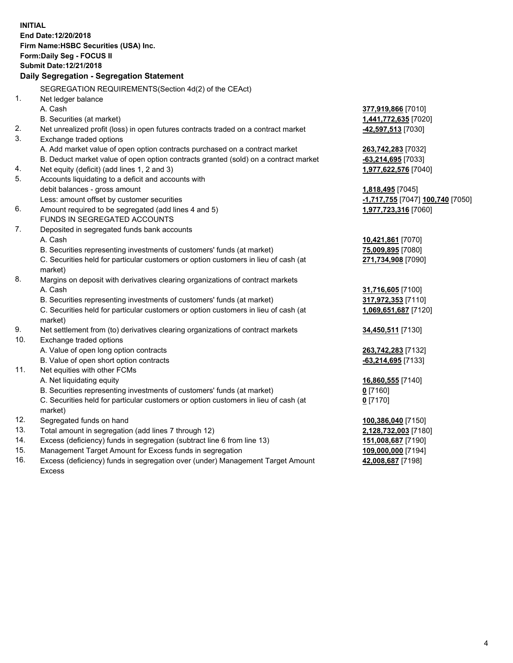**INITIAL End Date:12/20/2018 Firm Name:HSBC Securities (USA) Inc. Form:Daily Seg - FOCUS II Submit Date:12/21/2018 Daily Segregation - Segregation Statement** SEGREGATION REQUIREMENTS(Section 4d(2) of the CEAct) 1. Net ledger balance A. Cash **377,919,866** [7010] B. Securities (at market) **1,441,772,635** [7020] 2. Net unrealized profit (loss) in open futures contracts traded on a contract market **-42,597,513** [7030] 3. Exchange traded options A. Add market value of open option contracts purchased on a contract market **263,742,283** [7032] B. Deduct market value of open option contracts granted (sold) on a contract market **-63,214,695** [7033] 4. Net equity (deficit) (add lines 1, 2 and 3) **1,977,622,576** [7040] 5. Accounts liquidating to a deficit and accounts with debit balances - gross amount **1,818,495** [7045] Less: amount offset by customer securities **-1,717,755** [7047] **100,740** [7050] 6. Amount required to be segregated (add lines 4 and 5) **1,977,723,316** [7060] FUNDS IN SEGREGATED ACCOUNTS 7. Deposited in segregated funds bank accounts A. Cash **10,421,861** [7070] B. Securities representing investments of customers' funds (at market) **75,009,895** [7080] C. Securities held for particular customers or option customers in lieu of cash (at market) **271,734,908** [7090] 8. Margins on deposit with derivatives clearing organizations of contract markets A. Cash **31,716,605** [7100] B. Securities representing investments of customers' funds (at market) **317,972,353** [7110] C. Securities held for particular customers or option customers in lieu of cash (at market) **1,069,651,687** [7120] 9. Net settlement from (to) derivatives clearing organizations of contract markets **34,450,511** [7130] 10. Exchange traded options A. Value of open long option contracts **263,742,283** [7132] B. Value of open short option contracts **-63,214,695** [7133] 11. Net equities with other FCMs A. Net liquidating equity **16,860,555** [7140] B. Securities representing investments of customers' funds (at market) **0** [7160] C. Securities held for particular customers or option customers in lieu of cash (at market) **0** [7170] 12. Segregated funds on hand **100,386,040** [7150] 13. Total amount in segregation (add lines 7 through 12) **2,128,732,003** [7180] 14. Excess (deficiency) funds in segregation (subtract line 6 from line 13) **151,008,687** [7190] 15. Management Target Amount for Excess funds in segregation **109,000,000** [7194] **42,008,687** [7198]

16. Excess (deficiency) funds in segregation over (under) Management Target Amount Excess

4